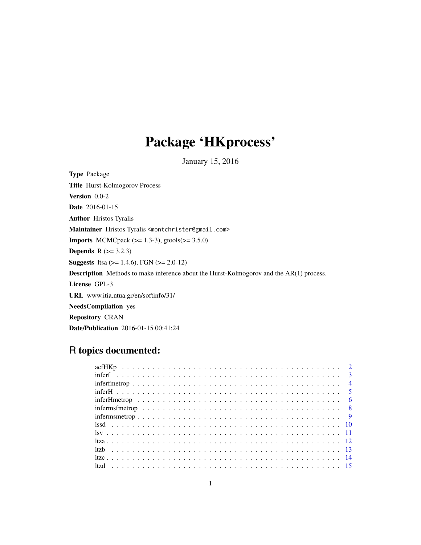## Package 'HKprocess'

January 15, 2016

Type Package Title Hurst-Kolmogorov Process Version 0.0-2 Date 2016-01-15 Author Hristos Tyralis Maintainer Hristos Tyralis <montchrister@gmail.com> **Imports** MCMCpack ( $>= 1.3-3$ ), gtools( $>= 3.5.0$ ) **Depends**  $R$  ( $>= 3.2.3$ ) **Suggests** ltsa ( $>= 1.4.6$ ), FGN ( $>= 2.0-12$ ) Description Methods to make inference about the Hurst-Kolmogorov and the AR(1) process. License GPL-3 URL www.itia.ntua.gr/en/softinfo/31/ NeedsCompilation yes Repository CRAN Date/Publication 2016-01-15 00:41:24

## R topics documented:

| inferms free trop $\ldots \ldots \ldots \ldots \ldots \ldots \ldots \ldots \ldots \ldots \ldots \ldots \ldots$ |  |
|----------------------------------------------------------------------------------------------------------------|--|
|                                                                                                                |  |
|                                                                                                                |  |
|                                                                                                                |  |
|                                                                                                                |  |
|                                                                                                                |  |
|                                                                                                                |  |
|                                                                                                                |  |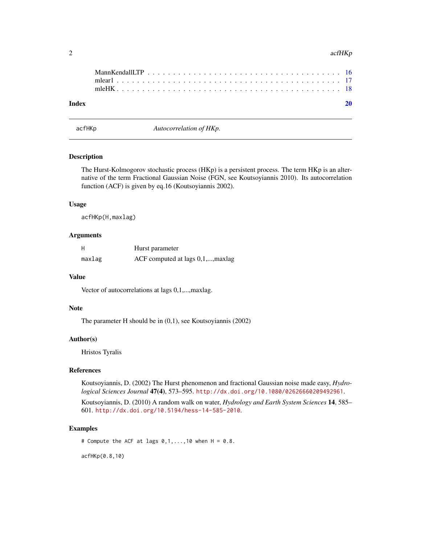#### <span id="page-1-0"></span>2 acfHKp and  $\alpha$  acfHKp acfHKp acfHKp acfHKp acfHKp acfHKp acfHKp acfHKp acfHKp acfHKp acfHKp acfHKp acfHKp acfHKp acfHKp acfHKp acfHKp acfHKp acfHKp acfHKp acfHKp acfHKp acfHKp acfHKp acfHKp acfHKp acfHKp acfHKp acfHKp

| Index |  |  |  |  |  |  |  |  |  |  |  |  |  |  |  |  |  |  |  |
|-------|--|--|--|--|--|--|--|--|--|--|--|--|--|--|--|--|--|--|--|

acfHKp *Autocorrelation of HKp.*

## Description

The Hurst-Kolmogorov stochastic process (HKp) is a persistent process. The term HKp is an alternative of the term Fractional Gaussian Noise (FGN, see Koutsoyiannis 2010). Its autocorrelation function (ACF) is given by eq.16 (Koutsoyiannis 2002).

## Usage

acfHKp(H,maxlag)

## Arguments

| H      | Hurst parameter                   |
|--------|-----------------------------------|
| maxlag | ACF computed at lags 0,1,, maxlag |

## Value

Vector of autocorrelations at lags 0,1,...,maxlag.

## Note

The parameter H should be in (0,1), see Koutsoyiannis (2002)

#### Author(s)

Hristos Tyralis

## References

Koutsoyiannis, D. (2002) The Hurst phenomenon and fractional Gaussian noise made easy, *Hydrological Sciences Journal* 47(4), 573–595. <http://dx.doi.org/10.1080/02626660209492961>.

Koutsoyiannis, D. (2010) A random walk on water, *Hydrology and Earth System Sciences* 14, 585– 601. <http://dx.doi.org/10.5194/hess-14-585-2010>.

#### Examples

# Compute the ACF at lags  $0,1,\ldots,10$  when  $H = 0.8$ .

acfHKp(0.8,10)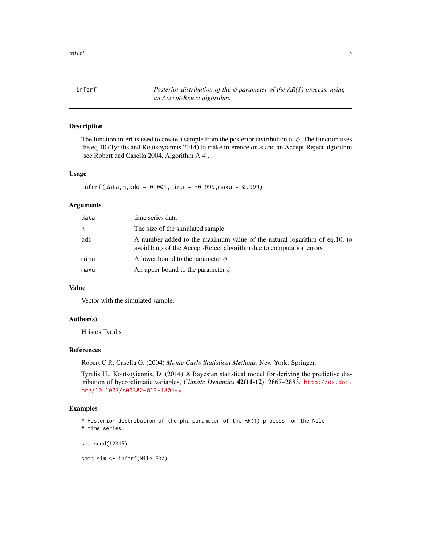<span id="page-2-0"></span>inferf *Posterior distribution of the* φ *parameter of the AR(1) process, using an Accept-Reject algorithm.*

## Description

The function inferf is used to create a sample from the posterior distribution of  $\phi$ . The function uses the eq.10 (Tyralis and Koutsoyiannis 2014) to make inference on  $\phi$  and an Accept-Reject algorithm (see Robert and Casella 2004, Algorithm A.4).

#### Usage

 $inferf(data, n, add = 0.001, minu = -0.999, maxu = 0.999)$ 

#### Arguments

| data | time series data                                                                                                                                 |
|------|--------------------------------------------------------------------------------------------------------------------------------------------------|
| n    | The size of the simulated sample                                                                                                                 |
| add  | A number added to the maximum value of the natural logarithm of eq.10, to<br>avoid bugs of the Accept-Reject algorithm due to computation errors |
| minu | A lower bound to the parameter $\phi$                                                                                                            |
| maxu | An upper bound to the parameter $\phi$                                                                                                           |

## Value

Vector with the simulated sample.

#### Author(s)

Hristos Tyralis

#### References

Robert C.P., Casella G. (2004) *Monte Carlo Statistical Methods*, New York: Springer.

Tyralis H., Koutsoyiannis, D. (2014) A Bayesian statistical model for deriving the predictive distribution of hydroclimatic variables, *Climate Dynamics* 42(11-12), 2867–2883. [http://dx.doi.](http://dx.doi.org/10.1007/s00382-013-1804-y) [org/10.1007/s00382-013-1804-y](http://dx.doi.org/10.1007/s00382-013-1804-y).

## Examples

# Posterior distribution of the phi parameter of the AR(1) process for the Nile # time series.

set.seed(12345)

samp.sim <- inferf(Nile,500)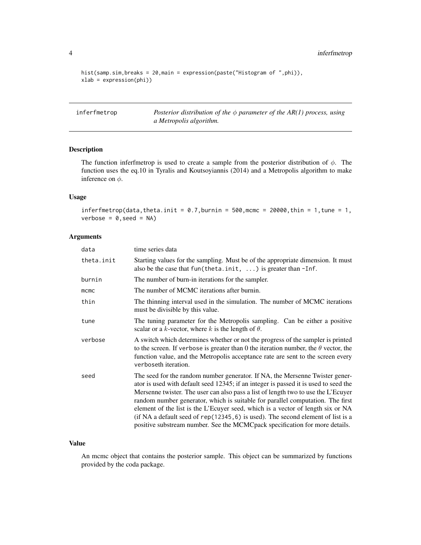```
hist(samp.sim,breaks = 20, main = expression(paste("Histogram of ",phi)),
xlab = expression(phi))
```
inferfmetrop *Posterior distribution of the* φ *parameter of the AR(1) process, using a Metropolis algorithm.*

## Description

The function inferfmetrop is used to create a sample from the posterior distribution of  $\phi$ . The function uses the eq.10 in Tyralis and Koutsoyiannis (2014) and a Metropolis algorithm to make inference on  $\phi$ .

## Usage

inferfmetrop(data, theta.init =  $0.7$ , burnin =  $500$ , mcmc =  $20000$ , thin = 1, tune = 1,  $verbose = 0, seed = NA)$ 

## Arguments

| data       | time series data                                                                                                                                                                                                                                                                                                                                                                                                                                                                                                                                                                                    |
|------------|-----------------------------------------------------------------------------------------------------------------------------------------------------------------------------------------------------------------------------------------------------------------------------------------------------------------------------------------------------------------------------------------------------------------------------------------------------------------------------------------------------------------------------------------------------------------------------------------------------|
| theta.init | Starting values for the sampling. Must be of the appropriate dimension. It must<br>also be the case that $fun(theta.init, \ldots)$ is greater than $-Inf.$                                                                                                                                                                                                                                                                                                                                                                                                                                          |
| burnin     | The number of burn-in iterations for the sampler.                                                                                                                                                                                                                                                                                                                                                                                                                                                                                                                                                   |
| mcmc       | The number of MCMC iterations after burnin.                                                                                                                                                                                                                                                                                                                                                                                                                                                                                                                                                         |
| thin       | The thinning interval used in the simulation. The number of MCMC iterations<br>must be divisible by this value.                                                                                                                                                                                                                                                                                                                                                                                                                                                                                     |
| tune       | The tuning parameter for the Metropolis sampling. Can be either a positive<br>scalar or a k-vector, where k is the length of $\theta$ .                                                                                                                                                                                                                                                                                                                                                                                                                                                             |
| verbose    | A switch which determines whether or not the progress of the sampler is printed<br>to the screen. If verbose is greater than 0 the iteration number, the $\theta$ vector, the<br>function value, and the Metropolis acceptance rate are sent to the screen every<br>verboseth iteration.                                                                                                                                                                                                                                                                                                            |
| seed       | The seed for the random number generator. If NA, the Mersenne Twister gener-<br>ator is used with default seed 12345; if an integer is passed it is used to seed the<br>Mersenne twister. The user can also pass a list of length two to use the L'Ecuyer<br>random number generator, which is suitable for parallel computation. The first<br>element of the list is the L'Ecuyer seed, which is a vector of length six or NA<br>(if NA a default seed of $rep(12345, 6)$ is used). The second element of list is a<br>positive substream number. See the MCMCpack specification for more details. |

## Value

An mcmc object that contains the posterior sample. This object can be summarized by functions provided by the coda package.

<span id="page-3-0"></span>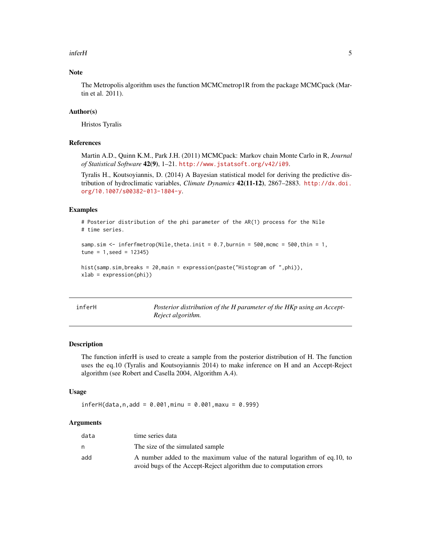#### <span id="page-4-0"></span>inferH 5

## Note

The Metropolis algorithm uses the function MCMCmetrop1R from the package MCMCpack (Martin et al. 2011).

## Author(s)

Hristos Tyralis

#### References

Martin A.D., Quinn K.M., Park J.H. (2011) MCMCpack: Markov chain Monte Carlo in R, *Journal of Statistical Software* 42(9), 1–21. <http://www.jstatsoft.org/v42/i09>.

Tyralis H., Koutsoyiannis, D. (2014) A Bayesian statistical model for deriving the predictive distribution of hydroclimatic variables, *Climate Dynamics* 42(11-12), 2867–2883. [http://dx.doi.](http://dx.doi.org/10.1007/s00382-013-1804-y) [org/10.1007/s00382-013-1804-y](http://dx.doi.org/10.1007/s00382-013-1804-y).

#### Examples

# Posterior distribution of the phi parameter of the AR(1) process for the Nile # time series.

```
samp.sim \le inferfmetrop(Nile, theta.init = 0.7, burnin = 500, mcmc = 500, thin = 1,
tune = 1, seed = 12345)
```

```
hist(samp.sim,breaks = 20, main = expression(paste("Histogram of ",phi)),
xlab = expression(phi))
```
inferH *Posterior distribution of the H parameter of the HKp using an Accept-Reject algorithm.*

#### Description

The function inferH is used to create a sample from the posterior distribution of H. The function uses the eq.10 (Tyralis and Koutsoyiannis 2014) to make inference on H and an Accept-Reject algorithm (see Robert and Casella 2004, Algorithm A.4).

#### Usage

```
inferH(data, n, add = 0.001, minu = 0.001, maxu = 0.999)
```
### Arguments

| data | time series data                                                          |
|------|---------------------------------------------------------------------------|
| n    | The size of the simulated sample                                          |
| add  | A number added to the maximum value of the natural logarithm of eq.10, to |
|      | avoid bugs of the Accept-Reject algorithm due to computation errors       |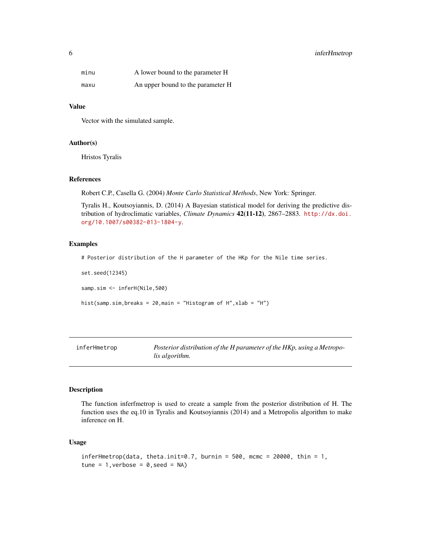## <span id="page-5-0"></span>6 inferHmetrop

| minu | A lower bound to the parameter H  |
|------|-----------------------------------|
| maxu | An upper bound to the parameter H |

## Value

Vector with the simulated sample.

#### Author(s)

Hristos Tyralis

## References

Robert C.P., Casella G. (2004) *Monte Carlo Statistical Methods*, New York: Springer.

Tyralis H., Koutsoyiannis, D. (2014) A Bayesian statistical model for deriving the predictive distribution of hydroclimatic variables, *Climate Dynamics* 42(11-12), 2867–2883. [http://dx.doi.](http://dx.doi.org/10.1007/s00382-013-1804-y) [org/10.1007/s00382-013-1804-y](http://dx.doi.org/10.1007/s00382-013-1804-y).

#### Examples

# Posterior distribution of the H parameter of the HKp for the Nile time series.

set.seed(12345)

samp.sim <- inferH(Nile,500)

hist(samp.sim,breaks = 20,main = "Histogram of H",xlab = "H")

inferHmetrop *Posterior distribution of the H parameter of the HKp, using a Metropolis algorithm.*

## Description

The function inferfmetrop is used to create a sample from the posterior distribution of H. The function uses the eq.10 in Tyralis and Koutsoyiannis (2014) and a Metropolis algorithm to make inference on H.

## Usage

```
inferHmetrop(data, theta.init=0.7, burnin = 500, mcmc = 20000, thin = 1,
tune = 1, verbose = 0, seed = NA)
```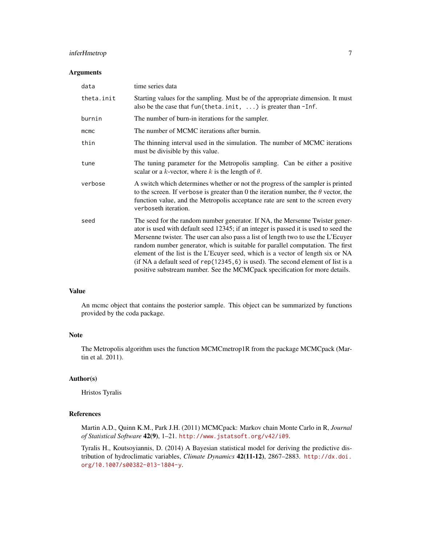## inferHmetrop 7

#### Arguments

| data       | time series data                                                                                                                                                                                                                                                                                                                                                                                                                                                                                                                                                                                  |
|------------|---------------------------------------------------------------------------------------------------------------------------------------------------------------------------------------------------------------------------------------------------------------------------------------------------------------------------------------------------------------------------------------------------------------------------------------------------------------------------------------------------------------------------------------------------------------------------------------------------|
| theta.init | Starting values for the sampling. Must be of the appropriate dimension. It must<br>also be the case that $fun(theta.init, \ldots)$ is greater than $-Inf.$                                                                                                                                                                                                                                                                                                                                                                                                                                        |
| burnin     | The number of burn-in iterations for the sampler.                                                                                                                                                                                                                                                                                                                                                                                                                                                                                                                                                 |
| mcmc       | The number of MCMC iterations after burnin.                                                                                                                                                                                                                                                                                                                                                                                                                                                                                                                                                       |
| thin       | The thinning interval used in the simulation. The number of MCMC iterations<br>must be divisible by this value.                                                                                                                                                                                                                                                                                                                                                                                                                                                                                   |
| tune       | The tuning parameter for the Metropolis sampling. Can be either a positive<br>scalar or a k-vector, where k is the length of $\theta$ .                                                                                                                                                                                                                                                                                                                                                                                                                                                           |
| verbose    | A switch which determines whether or not the progress of the sampler is printed<br>to the screen. If verbose is greater than 0 the iteration number, the $\theta$ vector, the<br>function value, and the Metropolis acceptance rate are sent to the screen every<br>verboseth iteration.                                                                                                                                                                                                                                                                                                          |
| seed       | The seed for the random number generator. If NA, the Mersenne Twister gener-<br>ator is used with default seed 12345; if an integer is passed it is used to seed the<br>Mersenne twister. The user can also pass a list of length two to use the L'Ecuyer<br>random number generator, which is suitable for parallel computation. The first<br>element of the list is the L'Ecuyer seed, which is a vector of length six or NA<br>(if NA a default seed of rep(12345, 6) is used). The second element of list is a<br>positive substream number. See the MCMCpack specification for more details. |

## Value

An mcmc object that contains the posterior sample. This object can be summarized by functions provided by the coda package.

## Note

The Metropolis algorithm uses the function MCMCmetrop1R from the package MCMCpack (Martin et al. 2011).

## Author(s)

Hristos Tyralis

#### References

Martin A.D., Quinn K.M., Park J.H. (2011) MCMCpack: Markov chain Monte Carlo in R, *Journal of Statistical Software* 42(9), 1–21. <http://www.jstatsoft.org/v42/i09>.

Tyralis H., Koutsoyiannis, D. (2014) A Bayesian statistical model for deriving the predictive distribution of hydroclimatic variables, *Climate Dynamics* 42(11-12), 2867–2883. [http://dx.doi.](http://dx.doi.org/10.1007/s00382-013-1804-y) [org/10.1007/s00382-013-1804-y](http://dx.doi.org/10.1007/s00382-013-1804-y).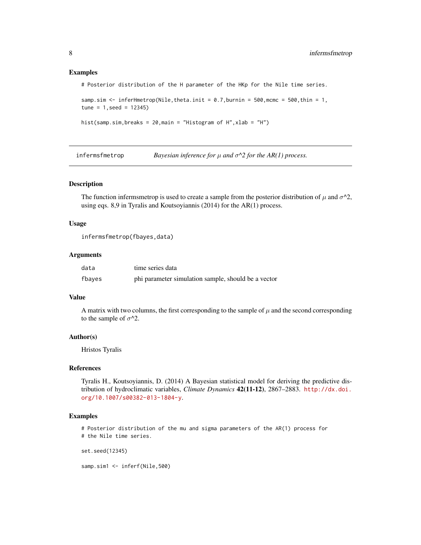#### Examples

# Posterior distribution of the H parameter of the HKp for the Nile time series.

```
samp.sim \le inferHmetrop(Nile,theta.init = 0.7, burnin = 500, mcmc = 500, thin = 1,
tune = 1, seed = 12345)
```

```
hist(samp.sim,breaks = 20,main = "Histogram of H",xlab = "H")
```
infermsfmetrop *Bayesian inference for*  $\mu$  *and*  $\sigma^2$  *for the AR(1) process.* 

## Description

The function infermsmetrop is used to create a sample from the posterior distribution of  $\mu$  and  $\sigma^2$ , using eqs. 8,9 in Tyralis and Koutsoyiannis (2014) for the AR(1) process.

## Usage

```
infermsfmetrop(fbayes,data)
```
#### **Arguments**

| data   | time series data                                    |
|--------|-----------------------------------------------------|
| fbayes | phi parameter simulation sample, should be a vector |

## Value

A matrix with two columns, the first corresponding to the sample of  $\mu$  and the second corresponding to the sample of  $\sigma^2$ .

## Author(s)

Hristos Tyralis

#### References

Tyralis H., Koutsoyiannis, D. (2014) A Bayesian statistical model for deriving the predictive distribution of hydroclimatic variables, *Climate Dynamics* 42(11-12), 2867–2883. [http://dx.doi.](http://dx.doi.org/10.1007/s00382-013-1804-y) [org/10.1007/s00382-013-1804-y](http://dx.doi.org/10.1007/s00382-013-1804-y).

#### Examples

# Posterior distribution of the mu and sigma parameters of the AR(1) process for # the Nile time series.

set.seed(12345)

samp.sim1 <- inferf(Nile,500)

<span id="page-7-0"></span>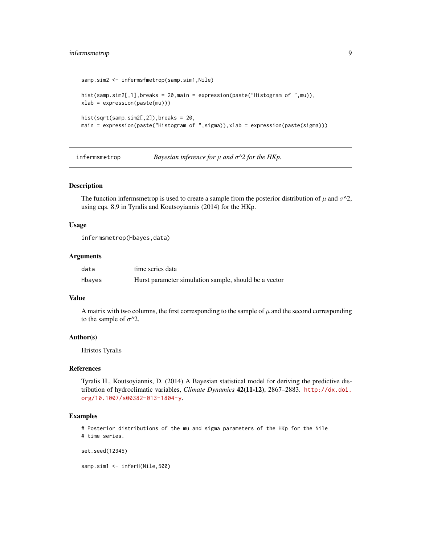## <span id="page-8-0"></span>infermsmetrop 9

```
samp.sim2 <- infermsfmetrop(samp.sim1,Nile)
hist(samp.sim2[,1],breaks = 20,main = expression(paste("Histogram of ",mu)),
xlab = expression(paste(mu)))
hist(sqrt(samp.sim2[,2]),breaks = 20,
main = expression(paste("Histogram of ",sigma)),xlab = expression(paste(sigma)))
```
infermsmetrop *Bayesian inference for* µ *and* σ*^2 for the HKp.*

## Description

The function infermsmetrop is used to create a sample from the posterior distribution of  $\mu$  and  $\sigma^2$ , using eqs. 8,9 in Tyralis and Koutsoyiannis (2014) for the HKp.

#### Usage

```
infermsmetrop(Hbayes,data)
```
#### Arguments

| data   | time series data                                      |
|--------|-------------------------------------------------------|
| Hbayes | Hurst parameter simulation sample, should be a vector |

#### Value

A matrix with two columns, the first corresponding to the sample of  $\mu$  and the second corresponding to the sample of  $\sigma^2$ .

#### Author(s)

Hristos Tyralis

#### References

Tyralis H., Koutsoyiannis, D. (2014) A Bayesian statistical model for deriving the predictive distribution of hydroclimatic variables, *Climate Dynamics* 42(11-12), 2867–2883. [http://dx.doi.](http://dx.doi.org/10.1007/s00382-013-1804-y) [org/10.1007/s00382-013-1804-y](http://dx.doi.org/10.1007/s00382-013-1804-y).

#### Examples

# Posterior distributions of the mu and sigma parameters of the HKp for the Nile # time series.

```
set.seed(12345)
```
samp.sim1 <- inferH(Nile,500)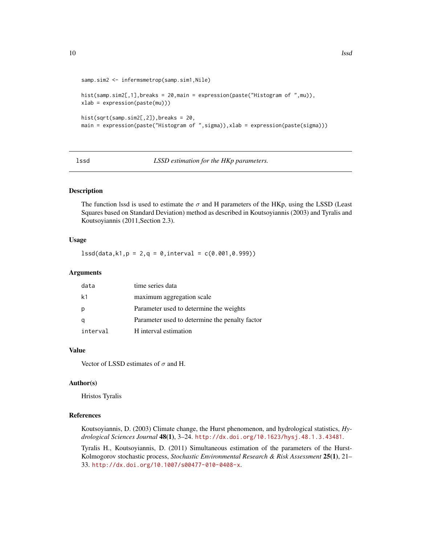```
samp.sim2 <- infermsmetrop(samp.sim1,Nile)
hist(samp.sim2[,1],breaks = 20,main = expression(paste("Histogram of ",mu)),
xlab = expression(paste(mu)))
hist(sqrt(samp.sim2[,2]),breaks = 20,
main = expression(paste("Histogram of ",sigma)),xlab = expression(paste(sigma)))
```
lssd *LSSD estimation for the HKp parameters.*

## Description

The function lssd is used to estimate the  $\sigma$  and H parameters of the HKp, using the LSSD (Least Squares based on Standard Deviation) method as described in Koutsoyiannis (2003) and Tyralis and Koutsoyiannis (2011,Section 2.3).

## Usage

 $lssd(data,k1,p = 2,q = 0,interval = c(0.001,0.999))$ 

## Arguments

| data     | time series data                               |
|----------|------------------------------------------------|
| k1       | maximum aggregation scale                      |
| p        | Parameter used to determine the weights        |
|          | Parameter used to determine the penalty factor |
| interval | H interval estimation                          |

#### Value

Vector of LSSD estimates of  $\sigma$  and H.

## Author(s)

Hristos Tyralis

#### References

Koutsoyiannis, D. (2003) Climate change, the Hurst phenomenon, and hydrological statistics, *Hydrological Sciences Journal* 48(1), 3–24. <http://dx.doi.org/10.1623/hysj.48.1.3.43481>.

Tyralis H., Koutsoyiannis, D. (2011) Simultaneous estimation of the parameters of the Hurst-Kolmogorov stochastic process, *Stochastic Environmental Research & Risk Assessment* 25(1), 21– 33. <http://dx.doi.org/10.1007/s00477-010-0408-x>.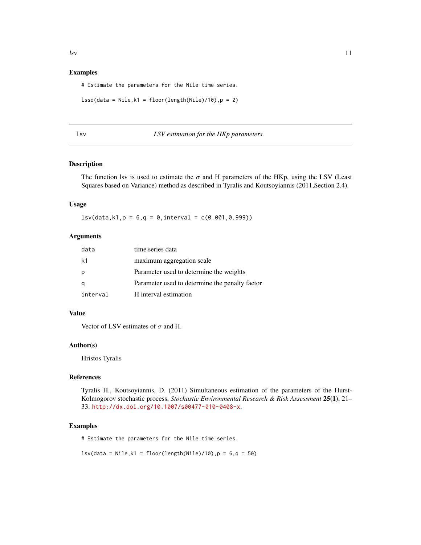#### <span id="page-10-0"></span>Examples

# Estimate the parameters for the Nile time series.

```
lssd(data = Nile, k1 = floor(length(Nile)/10), p = 2)
```

|  | ×<br>I<br>w<br>۰. |  |
|--|-------------------|--|

## lsv *LSV estimation for the HKp parameters.*

## Description

The function lsv is used to estimate the  $\sigma$  and H parameters of the HKp, using the LSV (Least Squares based on Variance) method as described in Tyralis and Koutsoyiannis (2011,Section 2.4).

## Usage

 $lsv(data, k1, p = 6, q = 0, interval = c(0.001, 0.999))$ 

## Arguments

| data     | time series data                               |
|----------|------------------------------------------------|
| k1       | maximum aggregation scale                      |
|          | Parameter used to determine the weights        |
|          | Parameter used to determine the penalty factor |
| interval | H interval estimation                          |

#### Value

Vector of LSV estimates of  $\sigma$  and H.

#### Author(s)

Hristos Tyralis

## References

Tyralis H., Koutsoyiannis, D. (2011) Simultaneous estimation of the parameters of the Hurst-Kolmogorov stochastic process, *Stochastic Environmental Research & Risk Assessment* 25(1), 21– 33. <http://dx.doi.org/10.1007/s00477-010-0408-x>.

## Examples

# Estimate the parameters for the Nile time series.

 $\text{lsv(data = Nile}, k1 = \text{floor}(\text{length}(\text{Nile})/10), p = 6, q = 50)$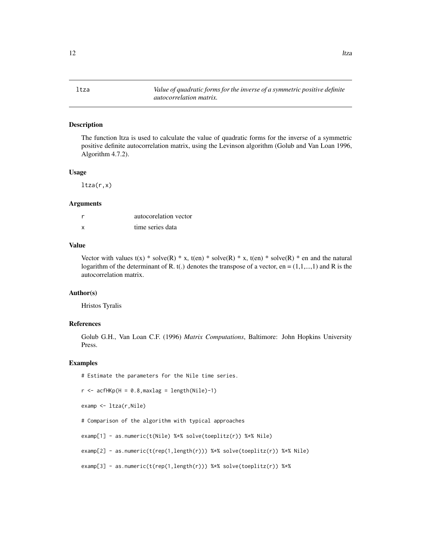<span id="page-11-0"></span>ltza *Value of quadratic forms for the inverse of a symmetric positive definite autocorrelation matrix.*

## Description

The function ltza is used to calculate the value of quadratic forms for the inverse of a symmetric positive definite autocorrelation matrix, using the Levinson algorithm (Golub and Van Loan 1996, Algorithm 4.7.2).

#### Usage

 $ltza(r,x)$ 

#### **Arguments**

| r | autocorelation vector |
|---|-----------------------|
| x | time series data      |

## Value

Vector with values t(x) \* solve(R) \* x, t(en) \* solve(R) \* x, t(en) \* solve(R) \* en and the natural logarithm of the determinant of R. t(.) denotes the transpose of a vector, en =  $(1,1,...,1)$  and R is the autocorrelation matrix.

#### Author(s)

Hristos Tyralis

## References

Golub G.H., Van Loan C.F. (1996) *Matrix Computations*, Baltimore: John Hopkins University Press.

#### Examples

# Estimate the parameters for the Nile time series.

```
r \le - acfHKp(H = 0.8, maxlag = length(Nile)-1)
```

```
examp <- ltza(r,Nile)
```
# Comparison of the algorithm with typical approaches

examp[1] - as.numeric(t(Nile) %\*% solve(toeplitz(r)) %\*% Nile)

examp[2] - as.numeric(t(rep(1,length(r))) %\*% solve(toeplitz(r)) %\*% Nile)

```
examp[3] - as.numeric(t(rep(1,length(r))) %*% solve(toeplitz(r)) %*%
```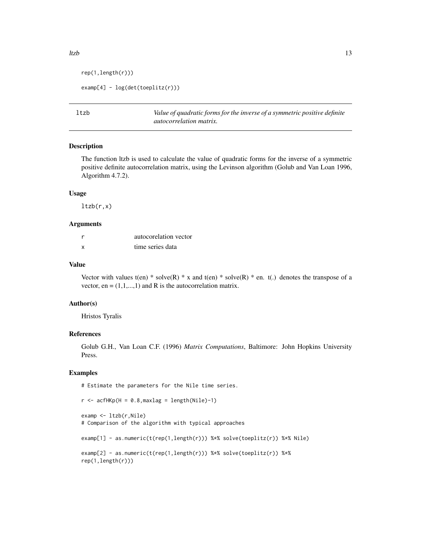```
rep(1,length(r)))
```

```
examp[4] - log(det(toeplitz(r)))
```
ltzb *Value of quadratic forms for the inverse of a symmetric positive definite autocorrelation matrix.*

#### Description

The function ltzb is used to calculate the value of quadratic forms for the inverse of a symmetric positive definite autocorrelation matrix, using the Levinson algorithm (Golub and Van Loan 1996, Algorithm 4.7.2).

## Usage

 $ltzb(r,x)$ 

## Arguments

| r | autocorelation vector |
|---|-----------------------|
| x | time series data      |

## Value

Vector with values t(en) \* solve(R) \* x and t(en) \* solve(R) \* en. t(.) denotes the transpose of a vector, en =  $(1,1,...,1)$  and R is the autocorrelation matrix.

#### Author(s)

Hristos Tyralis

#### References

Golub G.H., Van Loan C.F. (1996) *Matrix Computations*, Baltimore: John Hopkins University Press.

## Examples

# Estimate the parameters for the Nile time series.

```
r <- \operatorname{acfHKp}(H = 0.8, \text{maxlag} = \text{length(Nile)}-1)
```

```
examp <- ltzb(r,Nile)
# Comparison of the algorithm with typical approaches
examp[1] - as.numeric(t(rep(1,length(r))) %*% solve(toeplitz(r)) %*% Nile)
examp[2] - as.numeric(t(rep(1,length(r))) %*% solve(toeplitz(r)) %*%
rep(1,length(r)))
```
<span id="page-12-0"></span> $ltzb$  13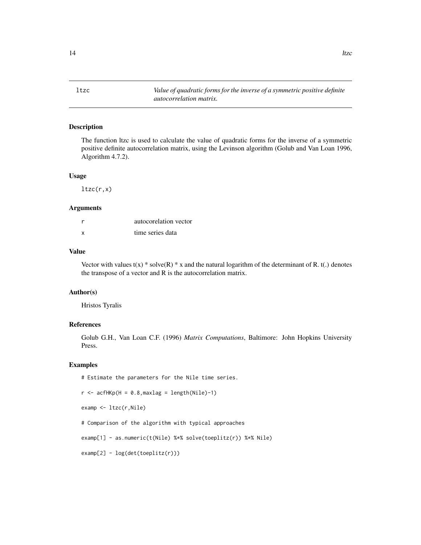<span id="page-13-0"></span>ltzc *Value of quadratic forms for the inverse of a symmetric positive definite autocorrelation matrix.*

## Description

The function ltzc is used to calculate the value of quadratic forms for the inverse of a symmetric positive definite autocorrelation matrix, using the Levinson algorithm (Golub and Van Loan 1996, Algorithm 4.7.2).

#### Usage

 $ltzc(r,x)$ 

## Arguments

|   | autocorelation vector |
|---|-----------------------|
| x | time series data      |

## Value

Vector with values  $t(x)$  \* solve $(R)$  \* x and the natural logarithm of the determinant of R. t(.) denotes the transpose of a vector and R is the autocorrelation matrix.

## Author(s)

Hristos Tyralis

## References

Golub G.H., Van Loan C.F. (1996) *Matrix Computations*, Baltimore: John Hopkins University Press.

#### Examples

# Estimate the parameters for the Nile time series.

 $r$  <-  $\operatorname{acfHKp}(H = 0.8, \text{maxlag} = \text{length(Nile)} - 1)$ 

examp <- ltzc(r,Nile)

# Comparison of the algorithm with typical approaches

examp[1] - as.numeric(t(Nile) %\*% solve(toeplitz(r)) %\*% Nile)

examp[2] - log(det(toeplitz(r)))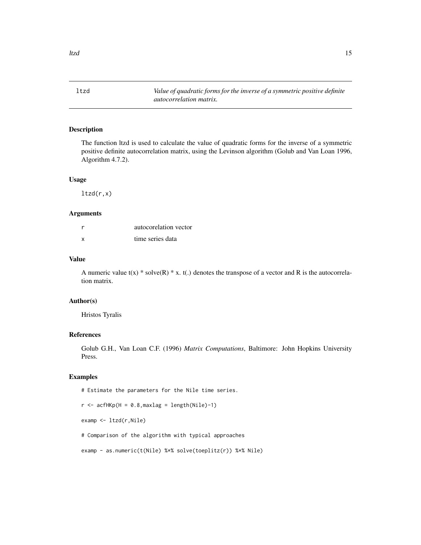<span id="page-14-0"></span>ltzd *Value of quadratic forms for the inverse of a symmetric positive definite autocorrelation matrix.*

## Description

The function ltzd is used to calculate the value of quadratic forms for the inverse of a symmetric positive definite autocorrelation matrix, using the Levinson algorithm (Golub and Van Loan 1996, Algorithm 4.7.2).

#### Usage

 $ltzd(r,x)$ 

#### Arguments

| r | autocorelation vector |
|---|-----------------------|
| x | time series data      |

## Value

A numeric value  $t(x)$  \* solve $(R)$  \* x.  $t(.)$  denotes the transpose of a vector and R is the autocorrelation matrix.

#### Author(s)

Hristos Tyralis

## References

Golub G.H., Van Loan C.F. (1996) *Matrix Computations*, Baltimore: John Hopkins University Press.

#### Examples

# Estimate the parameters for the Nile time series.

 $r$  <- acfHKp(H = 0.8, maxlag = length(Nile)-1)

examp <- ltzd(r,Nile)

# Comparison of the algorithm with typical approaches

examp - as.numeric(t(Nile) %\*% solve(toeplitz(r)) %\*% Nile)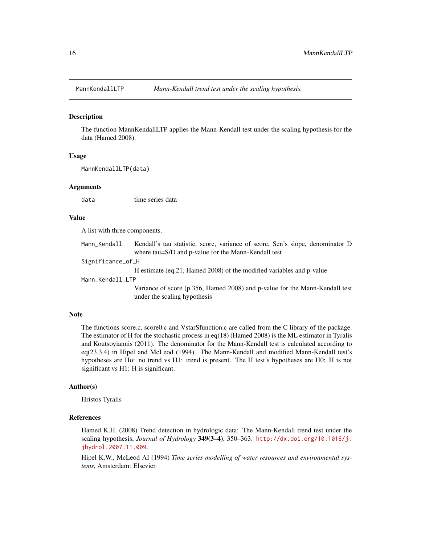<span id="page-15-0"></span>

#### Description

The function MannKendallLTP applies the Mann-Kendall test under the scaling hypothesis for the data (Hamed 2008).

## Usage

MannKendallLTP(data)

#### Arguments

data time series data

#### Value

A list with three components.

| Mann_Kendall      | Kendall's tau statistic, score, variance of score, Sen's slope, denominator D                               |
|-------------------|-------------------------------------------------------------------------------------------------------------|
|                   | where tau=S/D and p-value for the Mann-Kendall test                                                         |
| Significance_of_H |                                                                                                             |
|                   | H estimate (eq. 21, Hamed 2008) of the modified variables and p-value                                       |
| Mann_Kendall_LTP  |                                                                                                             |
|                   | Variance of score (p.356, Hamed 2008) and p-value for the Mann-Kendall test<br>under the scaling hypothesis |

#### Note

The functions score.c, score0.c and VstarSfunction.c are called from the C library of the package. The estimator of H for the stochastic process in eq(18) (Hamed 2008) is the ML estimator in Tyralis and Koutsoyiannis (2011). The denominator for the Mann-Kendall test is calculated according to eq(23.3.4) in Hipel and McLeod (1994). The Mann-Kendall and modified Mann-Kendall test's hypotheses are Ho: no trend vs H1: trend is present. The H test's hypotheses are H0: H is not significant vs H1: H is significant.

#### Author(s)

Hristos Tyralis

#### References

Hamed K.H. (2008) Trend detection in hydrologic data: The Mann-Kendall trend test under the scaling hypothesis, *Journal of Hydrology* 349(3–4), 350–363. [http://dx.doi.org/10.1016/j.](http://dx.doi.org/10.1016/j.jhydrol.2007.11.009) [jhydrol.2007.11.009](http://dx.doi.org/10.1016/j.jhydrol.2007.11.009).

Hipel K.W., McLeod AI (1994) *Time series modelling of water resources and environmental systems*, Amsterdam: Elsevier.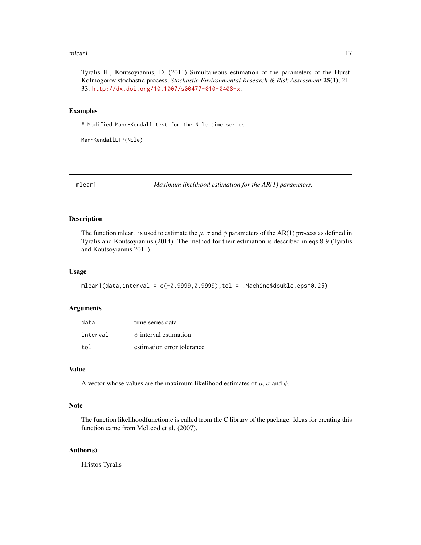#### <span id="page-16-0"></span> $m$ lear 1

Tyralis H., Koutsoyiannis, D. (2011) Simultaneous estimation of the parameters of the Hurst-Kolmogorov stochastic process, *Stochastic Environmental Research & Risk Assessment* 25(1), 21– 33. <http://dx.doi.org/10.1007/s00477-010-0408-x>.

#### Examples

# Modified Mann-Kendall test for the Nile time series.

MannKendallLTP(Nile)

mlear1 *Maximum likelihood estimation for the AR(1) parameters.*

#### Description

The function mlear1 is used to estimate the  $\mu$ ,  $\sigma$  and  $\phi$  parameters of the AR(1) process as defined in Tyralis and Koutsoyiannis (2014). The method for their estimation is described in eqs.8-9 (Tyralis and Koutsoyiannis 2011).

#### Usage

```
mleaf(data,interval = c(-0.9999, 0.9999), tol = .Machine$double.eps^0.25)
```
#### Arguments

| data     | time series data           |
|----------|----------------------------|
| interval | $\phi$ interval estimation |
| tol      | estimation error tolerance |

## Value

A vector whose values are the maximum likelihood estimates of  $\mu$ ,  $\sigma$  and  $\phi$ .

## Note

The function likelihoodfunction.c is called from the C library of the package. Ideas for creating this function came from McLeod et al. (2007).

#### Author(s)

Hristos Tyralis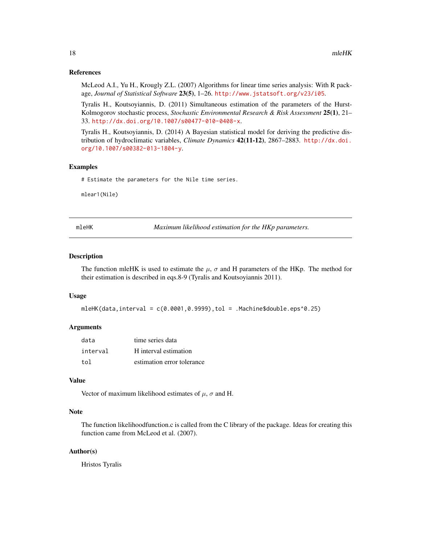#### <span id="page-17-0"></span>References

McLeod A.I., Yu H., Krougly Z.L. (2007) Algorithms for linear time series analysis: With R package, *Journal of Statistical Software* 23(5), 1–26. <http://www.jstatsoft.org/v23/i05>.

Tyralis H., Koutsoyiannis, D. (2011) Simultaneous estimation of the parameters of the Hurst-Kolmogorov stochastic process, *Stochastic Environmental Research & Risk Assessment* 25(1), 21– 33. <http://dx.doi.org/10.1007/s00477-010-0408-x>.

Tyralis H., Koutsoyiannis, D. (2014) A Bayesian statistical model for deriving the predictive distribution of hydroclimatic variables, *Climate Dynamics* 42(11-12), 2867–2883. [http://dx.doi.](http://dx.doi.org/10.1007/s00382-013-1804-y) [org/10.1007/s00382-013-1804-y](http://dx.doi.org/10.1007/s00382-013-1804-y).

#### Examples

# Estimate the parameters for the Nile time series.

mlear1(Nile)

mleHK *Maximum likelihood estimation for the HKp parameters.*

#### Description

The function mleHK is used to estimate the  $\mu$ ,  $\sigma$  and H parameters of the HKp. The method for their estimation is described in eqs.8-9 (Tyralis and Koutsoyiannis 2011).

#### Usage

```
mleHK(data,interval = c(0.0001, 0.9999), tol = .Machine$double.eps^0.25)
```
#### Arguments

| data     | time series data           |
|----------|----------------------------|
| interval | H interval estimation      |
| tol      | estimation error tolerance |

#### Value

Vector of maximum likelihood estimates of  $\mu$ ,  $\sigma$  and H.

#### Note

The function likelihoodfunction.c is called from the C library of the package. Ideas for creating this function came from McLeod et al. (2007).

#### Author(s)

Hristos Tyralis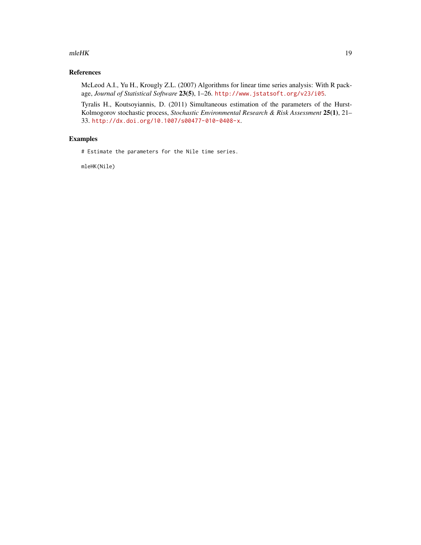#### $m$ leHK 19

## References

McLeod A.I., Yu H., Krougly Z.L. (2007) Algorithms for linear time series analysis: With R package, *Journal of Statistical Software* 23(5), 1–26. <http://www.jstatsoft.org/v23/i05>.

Tyralis H., Koutsoyiannis, D. (2011) Simultaneous estimation of the parameters of the Hurst-Kolmogorov stochastic process, *Stochastic Environmental Research & Risk Assessment* 25(1), 21– 33. <http://dx.doi.org/10.1007/s00477-010-0408-x>.

## Examples

# Estimate the parameters for the Nile time series.

mleHK(Nile)